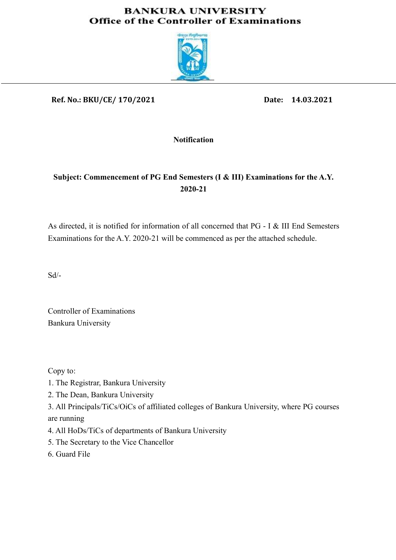### **BANKURA UNIVERSITY Office of the Controller of Examinations**



Ref. No.: BKU/CE/ 170/2021

Date: 14.03.2021

Notification

### Subject: Commencement of PG End Semesters (I & III) Examinations for the A.Y. 2020-21

As directed, it is notified for information of all concerned that PG - I & III End Semesters Examinations for the A.Y. 2020-21 will be commenced as per the attached schedule.

Sd/-

Controller of Examinations Bankura University

Copy to:

- 1. The Registrar, Bankura University
- 2. The Dean, Bankura University

3. All Principals/TiCs/OiCs of affiliated colleges of Bankura University, where PG courses are running

- 4. All HoDs/TiCs of departments of Bankura University
- 5. The Secretary to the Vice Chancellor
- 6. Guard File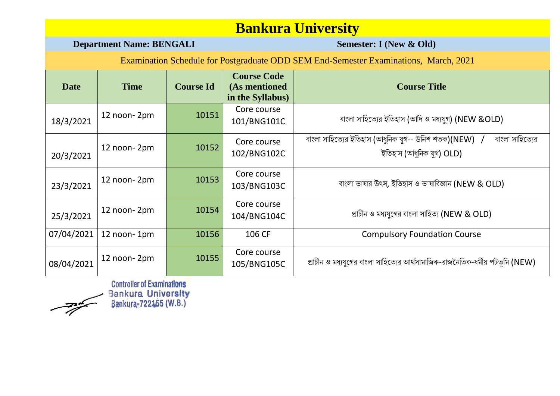### **Department Name: BENGALI Semester: I** (New & Old)

Examination Schedule for Postgraduate ODD SEM End-Semester Examinations, March, 2021

| Date       | <b>Time</b> | <b>Course Id</b> | <b>Course Code</b><br>(As mentioned<br>in the Syllabus) | <b>Course Title</b>                                                                                         |
|------------|-------------|------------------|---------------------------------------------------------|-------------------------------------------------------------------------------------------------------------|
| 18/3/2021  | 12 noon-2pm | 10151            | Core course<br>101/BNG101C                              | বাংলা সাহিত্যের ইতিহাস (আদি ও মধ্যযুগ) (NEW &OLD)                                                           |
| 20/3/2021  | 12 noon-2pm | 10152            | Core course<br>102/BNG102C                              | বাংলা সাহিত্যের ইতিহাস (আধুনিক যুগ-- উনিশ শতক)(NEW) <i>।</i><br>বাংলা সাহিত্যের<br>ইতিহাস (আধুনিক যুগ) OLD) |
| 23/3/2021  | 12 noon-2pm | 10153            | Core course<br>103/BNG103C                              | বাংলা ভাষার উৎস, ইতিহাস ও ভাষাবিজ্ঞান (NEW & OLD)                                                           |
| 25/3/2021  | 12 noon-2pm | 10154            | Core course<br>104/BNG104C                              | প্রাচীন ও মধ্যযুগের বাংলা সাহিত্য (NEW & OLD)                                                               |
| 07/04/2021 | 12 noon-1pm | 10156            | 106 CF                                                  | <b>Compulsory Foundation Course</b>                                                                         |
| 08/04/2021 | 12 noon-2pm | 10155            | Core course<br>105/BNG105C                              | প্রাচীন ও মধ্যযুগের বাংলা সাহিত্যের আর্থসামাজিক-রাজনৈতিক-ধর্মীয় পটভূমি (NEW)                               |

 $\rightarrow$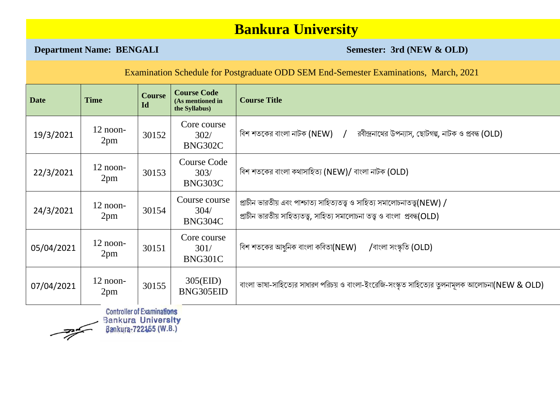**Department Name: BENGALI** Semester: 3rd (NEW & OLD)

|             | Examination Schedule for Postgraduate ODD SEM End-Semester Examinations, March, 2021 |                                                            |                                                         |                                                                                                                                                            |  |  |  |
|-------------|--------------------------------------------------------------------------------------|------------------------------------------------------------|---------------------------------------------------------|------------------------------------------------------------------------------------------------------------------------------------------------------------|--|--|--|
| <b>Date</b> | <b>Time</b>                                                                          | <b>Course</b><br>Id                                        | <b>Course Code</b><br>(As mentioned in<br>the Syllabus) | <b>Course Title</b>                                                                                                                                        |  |  |  |
| 19/3/2021   | $12$ noon-<br>2pm                                                                    | 30152                                                      | Core course<br>302/<br>BNG302C                          | বিশ শতকের বাংলা নাটক (NEW) /<br>রবীন্দ্রনাথের উপন্যাস, ছোটগল্প, নাটক ও প্রবন্ধ (OLD)                                                                       |  |  |  |
| 22/3/2021   | $12$ noon-<br>2pm                                                                    | 30153                                                      | <b>Course Code</b><br>303/<br>BNG303C                   | বিশ শতকের বাংলা কথাসাহিত্য (NEW)/ বাংলা নাটক (OLD)                                                                                                         |  |  |  |
| 24/3/2021   | $12$ noon-<br>2pm                                                                    | 30154                                                      | Course course<br>304/<br>BNG304C                        | প্রাচীন ভারতীয় এবং পাশ্চাত্য সাহিত্যতত্ত্ব ও সাহিত্য সমালোচনাতত্ত্ব(NEW) /<br>প্রাচীন ভারতীয় সাহিত্যতত্ত্ব, সাহিত্য সমালোচনা তত্ত্ব ও বাংলা প্রবন্ধ(OLD) |  |  |  |
| 05/04/2021  | $12$ noon-<br>2pm                                                                    | 30151                                                      | Core course<br>301/<br>BNG301C                          | বিশ শতকের আধুনিক বাংলা কবিতা(NEW)<br>/বাংলা সংস্কৃতি (OLD)                                                                                                 |  |  |  |
| 07/04/2021  | $12$ noon-<br>2pm                                                                    | 30155                                                      | 305(EID)<br>BNG305EID                                   | বাংলা ভাষা-সাহিত্যের সাধারণ পরিচয় ও বাংলা-ইংরেজি-সংস্কৃত সাহিত্যের তুলনামূলক আলোচনা(NEW & OLD)                                                            |  |  |  |
|             | <b>Bankura University</b>                                                            | <b>Controller of Examinations</b><br>Bankura-722455 (W.B.) |                                                         |                                                                                                                                                            |  |  |  |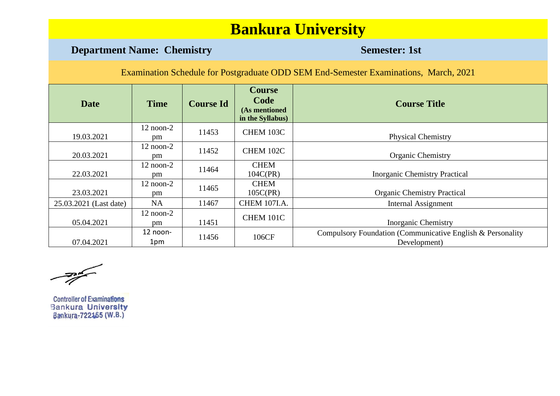### **Department Name: Chemistry <b>Semester: 1st Semester: 1st**

Examination Schedule for Postgraduate ODD SEM End-Semester Examinations, March, 2021

| <b>Date</b>            | <b>Time</b>               | <b>Course Id</b> | <b>Course</b><br>Code<br>(As mentioned<br>in the Syllabus) | <b>Course Title</b>                                                        |
|------------------------|---------------------------|------------------|------------------------------------------------------------|----------------------------------------------------------------------------|
| 19.03.2021             | $12$ noon- $2$<br>pm      | 11453            | CHEM 103C                                                  | <b>Physical Chemistry</b>                                                  |
| 20.03.2021             | $12$ noon- $2$<br>pm      | 11452            | CHEM 102C                                                  | <b>Organic Chemistry</b>                                                   |
| 22.03.2021             | $12$ noon- $2$<br>pm      | 11464            | <b>CHEM</b><br>104C(PR)                                    | <b>Inorganic Chemistry Practical</b>                                       |
| 23.03.2021             | $12$ noon- $2$<br>pm      | 11465            | <b>CHEM</b><br>105C(PR)                                    | <b>Organic Chemistry Practical</b>                                         |
| 25.03.2021 (Last date) | <b>NA</b>                 | 11467            | <b>CHEM 107I.A.</b>                                        | Internal Assignment                                                        |
| 05.04.2021             | $12 \text{ noon-}2$<br>pm | 11451            | CHEM 101C                                                  | <b>Inorganic Chemistry</b>                                                 |
| 07.04.2021             | $12$ noon-<br>1pm         | 11456            | 106CF                                                      | Compulsory Foundation (Communicative English & Personality<br>Development) |

 $\frac{1}{\sqrt{2\pi}}\int_{0}^{\frac{\pi}{2}}\frac{dx}{\sqrt{2\pi}}dx$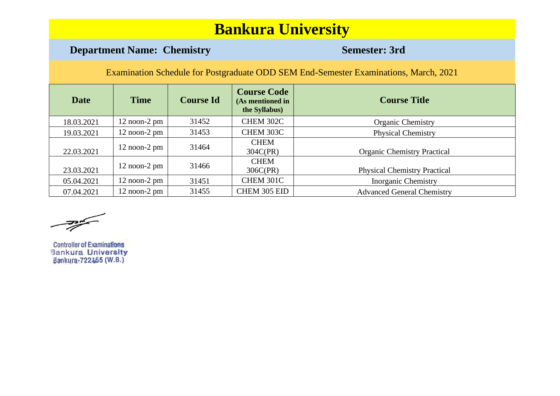### **Department Name: Chemistry <b>Semester: 3rd**

| <b>Date</b> | <b>Time</b>       | <b>Course Id</b> | <b>Course Code</b><br>(As mentioned in<br>the Syllabus) | <b>Course Title</b>                 |
|-------------|-------------------|------------------|---------------------------------------------------------|-------------------------------------|
| 18.03.2021  | $12$ noon- $2$ pm | 31452            | CHEM 302C                                               | <b>Organic Chemistry</b>            |
| 19.03.2021  | $12$ noon- $2$ pm | 31453            | CHEM 303C                                               | <b>Physical Chemistry</b>           |
| 22.03.2021  | $12$ noon- $2$ pm | 31464            | <b>CHEM</b><br>304C(PR)                                 | <b>Organic Chemistry Practical</b>  |
| 23.03.2021  | $12$ noon- $2$ pm | 31466            | <b>CHEM</b><br>306C(PR)                                 | <b>Physical Chemistry Practical</b> |
| 05.04.2021  | $12$ noon- $2$ pm | 31451            | CHEM 301C                                               | <b>Inorganic Chemistry</b>          |
| 07.04.2021  | $12$ noon- $2$ pm | 31455            | CHEM 305 EID                                            | <b>Advanced General Chemistry</b>   |

 $\frac{1}{\sqrt{2\pi}}\int_{0}^{\frac{\pi}{2}}\frac{dx}{\sqrt{2\pi}}dx$ 

**Controller of Examinations** Bankura University<br>Bankura-722155 (W.B.)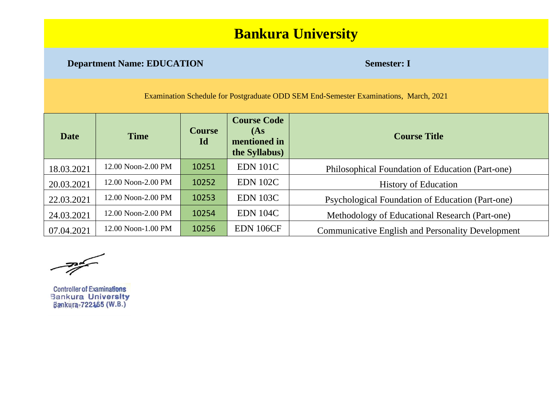### **Department Name: EDUCATION Semester: I**

Examination Schedule for Postgraduate ODD SEM End-Semester Examinations, March, 2021

| <b>Date</b> | <b>Time</b>        | <b>Course</b><br>Id | <b>Course Code</b><br>(As)<br>mentioned in<br>the Syllabus) | <b>Course Title</b>                                      |
|-------------|--------------------|---------------------|-------------------------------------------------------------|----------------------------------------------------------|
| 18.03.2021  | 12.00 Noon-2.00 PM | 10251               | <b>EDN 101C</b>                                             | Philosophical Foundation of Education (Part-one)         |
| 20.03.2021  | 12.00 Noon-2.00 PM | 10252               | <b>EDN 102C</b>                                             | <b>History of Education</b>                              |
| 22.03.2021  | 12.00 Noon-2.00 PM | 10253               | <b>EDN 103C</b>                                             | Psychological Foundation of Education (Part-one)         |
| 24.03.2021  | 12.00 Noon-2.00 PM | 10254               | <b>EDN 104C</b>                                             | Methodology of Educational Research (Part-one)           |
| 07.04.2021  | 12.00 Noon-1.00 PM | 10256               | EDN 106CF                                                   | <b>Communicative English and Personality Development</b> |

 $\frac{1}{\sqrt{2}}$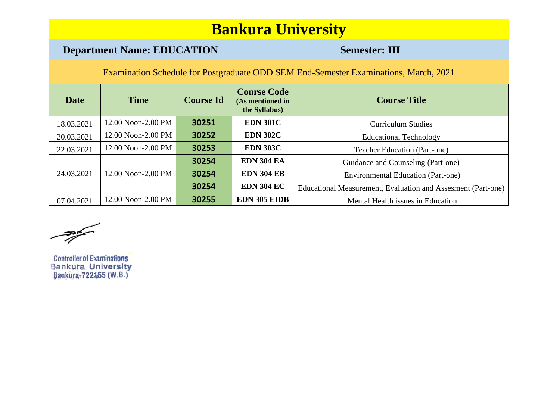### **Department Name: EDUCATION Semester: III**

| <b>Date</b> | <b>Time</b>        | <b>Course Id</b> | <b>Course Code</b><br>(As mentioned in<br>the Syllabus) | <b>Course Title</b>                                          |
|-------------|--------------------|------------------|---------------------------------------------------------|--------------------------------------------------------------|
| 18.03.2021  | 12.00 Noon-2.00 PM | 30251            | <b>EDN 301C</b>                                         | <b>Curriculum Studies</b>                                    |
| 20.03.2021  | 12.00 Noon-2.00 PM | 30252            | <b>EDN 302C</b>                                         | <b>Educational Technology</b>                                |
| 22.03.2021  | 12.00 Noon-2.00 PM | 30253            | <b>EDN 303C</b>                                         | <b>Teacher Education (Part-one)</b>                          |
|             |                    | 30254            | <b>EDN 304 EA</b>                                       | Guidance and Counseling (Part-one)                           |
| 24.03.2021  | 12.00 Noon-2.00 PM | 30254            | <b>EDN 304 EB</b>                                       | <b>Environmental Education (Part-one)</b>                    |
|             |                    | 30254            | <b>EDN 304 EC</b>                                       | Educational Measurement, Evaluation and Assesment (Part-one) |
| 07.04.2021  | 12.00 Noon-2.00 PM | 30255            | <b>EDN 305 EIDB</b>                                     | Mental Health issues in Education                            |

 $\frac{1}{\sqrt{2\pi}}\int_{0}^{\frac{\pi}{2}}\frac{dx}{y^2}dy$ 

**Controller of Examinations** Bankura University<br>Bankura-722455 (W.B.)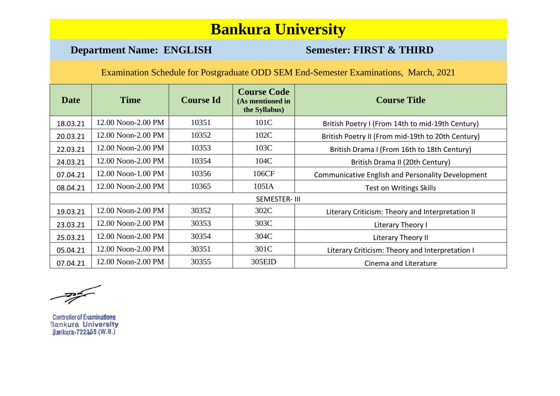### **Department Name: ENGLISH Semester: FIRST & THIRD**

| <b>Date</b> | <b>Time</b>        | <b>Course Id</b> | <b>Course Code</b><br>(As mentioned in<br>the Syllabus) | <b>Course Title</b>                               |
|-------------|--------------------|------------------|---------------------------------------------------------|---------------------------------------------------|
| 18.03.21    | 12.00 Noon-2.00 PM | 10351            | 101C                                                    | British Poetry I (From 14th to mid-19th Century)  |
| 20.03.21    | 12.00 Noon-2.00 PM | 10352            | 102C                                                    | British Poetry II (From mid-19th to 20th Century) |
| 22.03.21    | 12.00 Noon-2.00 PM | 10353            | 103C                                                    | British Drama I (From 16th to 18th Century)       |
| 24.03.21    | 12.00 Noon-2.00 PM | 10354            | 104C                                                    | British Drama II (20th Century)                   |
| 07.04.21    | 12.00 Noon-1.00 PM | 10356            | 106CF                                                   | Communicative English and Personality Development |
| 08.04.21    | 12.00 Noon-2.00 PM | 10365            | 105IA                                                   | <b>Test on Writings Skills</b>                    |
|             |                    |                  | SEMESTER-III                                            |                                                   |
| 19.03.21    | 12.00 Noon-2.00 PM | 30352            | 302C                                                    | Literary Criticism: Theory and Interpretation II  |
| 23.03.21    | 12.00 Noon-2.00 PM | 30353            | 303C                                                    | Literary Theory I                                 |
| 25.03.21    | 12.00 Noon-2.00 PM | 30354            | 304C                                                    | Literary Theory II                                |
| 05.04.21    | 12.00 Noon-2.00 PM | 30351            | 301C                                                    | Literary Criticism: Theory and Interpretation I   |
| 07.04.21    | 12.00 Noon-2.00 PM | 30355            | 305EID                                                  | Cinema and Literature                             |

 $\frac{1}{\sqrt{2\pi}}\int_{0}^{\frac{\pi}{2}}\frac{dx}{y^2}dy$ 

**Controller of Examinations Bankura University** Bankura-722155 (W.B.)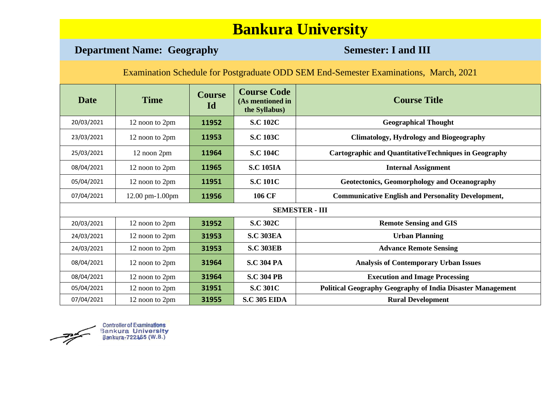### **Department Name: Geography <b>Semester: I and III**

Examination Schedule for Postgraduate ODD SEM End-Semester Examinations, March, 2021

| <b>Date</b> | <b>Time</b>     | <b>Course</b><br>Id | <b>Course Code</b><br>(As mentioned in<br>the Syllabus) | <b>Course Title</b>                                               |
|-------------|-----------------|---------------------|---------------------------------------------------------|-------------------------------------------------------------------|
| 20/03/2021  | 12 noon to 2pm  | 11952               | <b>S.C 102C</b>                                         | <b>Geographical Thought</b>                                       |
| 23/03/2021  | 12 noon to 2pm  | 11953               | <b>S.C 103C</b>                                         | <b>Climatology, Hydrology and Biogeography</b>                    |
| 25/03/2021  | 12 noon 2pm     | 11964               | <b>S.C 104C</b>                                         | <b>Cartographic and QuantitativeTechniques in Geography</b>       |
| 08/04/2021  | 12 noon to 2pm  | 11965               | <b>S.C 105IA</b>                                        | <b>Internal Assignment</b>                                        |
| 05/04/2021  | 12 noon to 2pm  | 11951               | <b>S.C 101C</b>                                         | <b>Geotectonics, Geomorphology and Oceanography</b>               |
| 07/04/2021  | 12.00 pm-1.00pm | 11956               | 106 CF                                                  | <b>Communicative English and Personality Development,</b>         |
|             |                 |                     |                                                         | <b>SEMESTER - III</b>                                             |
| 20/03/2021  | 12 noon to 2pm  | 31952               | <b>S.C 302C</b>                                         | <b>Remote Sensing and GIS</b>                                     |
| 24/03/2021  | 12 noon to 2pm  | 31953               | <b>S.C 303EA</b>                                        | <b>Urban Planning</b>                                             |
| 24/03/2021  | 12 noon to 2pm  | 31953               | <b>S.C 303EB</b>                                        | <b>Advance Remote Sensing</b>                                     |
| 08/04/2021  | 12 noon to 2pm  | 31964               | <b>S.C 304 PA</b>                                       | <b>Analysis of Contemporary Urban Issues</b>                      |
| 08/04/2021  | 12 noon to 2pm  | 31964               | <b>S.C 304 PB</b>                                       | <b>Execution and Image Processing</b>                             |
| 05/04/2021  | 12 noon to 2pm  | 31951               | <b>S.C 301C</b>                                         | <b>Political Geography Geography of India Disaster Management</b> |
| 07/04/2021  | 12 noon to 2pm  | 31955               | <b>S.C 305 EIDA</b>                                     | <b>Rural Development</b>                                          |

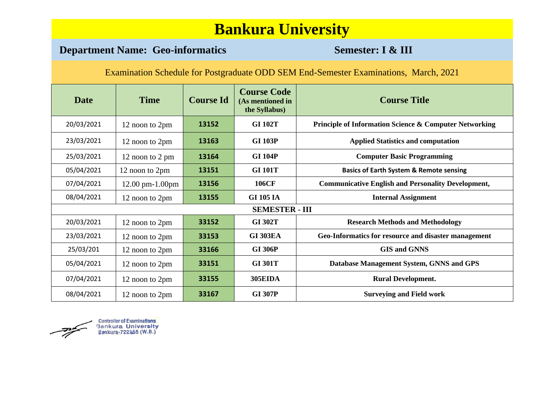### **Department Name: Geo-informatics Semester: I & III**

| <b>Date</b> | <b>Time</b>                         | <b>Course Id</b> | <b>Course Code</b><br>(As mentioned in<br>the Syllabus) | <b>Course Title</b>                                               |
|-------------|-------------------------------------|------------------|---------------------------------------------------------|-------------------------------------------------------------------|
| 20/03/2021  | 12 noon to 2pm                      | 13152            | <b>GI 102T</b>                                          | <b>Principle of Information Science &amp; Computer Networking</b> |
| 23/03/2021  | 12 noon to 2pm                      | 13163            | <b>GI 103P</b>                                          | <b>Applied Statistics and computation</b>                         |
| 25/03/2021  | 12 noon to 2 pm                     | 13164            | <b>GI 104P</b>                                          | <b>Computer Basic Programming</b>                                 |
| 05/04/2021  | 12 noon to 2pm                      | 13151            | <b>GI 101T</b>                                          | <b>Basics of Earth System &amp; Remote sensing</b>                |
| 07/04/2021  | $12.00 \text{ pm} - 1.00 \text{pm}$ | 13156            | <b>106CF</b>                                            | <b>Communicative English and Personality Development,</b>         |
| 08/04/2021  | 12 noon to 2pm                      | 13155            | <b>GI 105 IA</b>                                        | <b>Internal Assignment</b>                                        |
|             |                                     |                  | <b>SEMESTER - III</b>                                   |                                                                   |
| 20/03/2021  | 12 noon to 2pm                      | 33152            | <b>GI 302T</b>                                          | <b>Research Methods and Methodology</b>                           |
| 23/03/2021  | 12 noon to 2pm                      | 33153            | <b>GI 303EA</b>                                         | Geo-Informatics for resource and disaster management              |
| 25/03/201   | 12 noon to 2pm                      | 33166            | <b>GI 306P</b>                                          | <b>GIS and GNNS</b>                                               |
| 05/04/2021  | 12 noon to 2pm                      | 33151            | <b>GI 301T</b>                                          | Database Management System, GNNS and GPS                          |
| 07/04/2021  | 12 noon to 2pm                      | 33155            | <b>305EIDA</b>                                          | <b>Rural Development.</b>                                         |
| 08/04/2021  | 12 noon to 2pm                      | 33167            | <b>GI 307P</b>                                          | <b>Surveying and Field work</b>                                   |

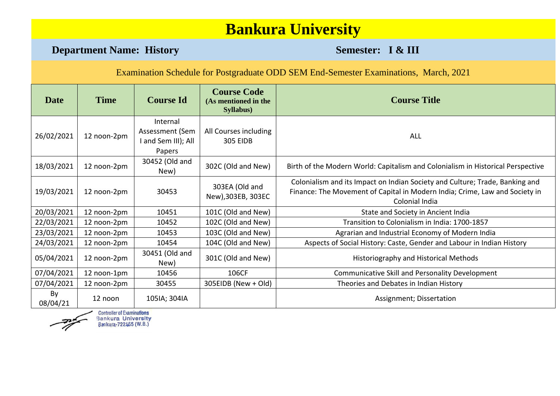**Department Name: History <b>Semester: I & III** 

Examination Schedule for Postgraduate ODD SEM End-Semester Examinations, March, 2021

| <b>Date</b>    | <b>Time</b> | <b>Course Id</b>                                             | <b>Course Code</b><br>(As mentioned in the<br>Syllabus) | <b>Course Title</b>                                                                                                                                                           |
|----------------|-------------|--------------------------------------------------------------|---------------------------------------------------------|-------------------------------------------------------------------------------------------------------------------------------------------------------------------------------|
| 26/02/2021     | 12 noon-2pm | Internal<br>Assessment (Sem<br>I and Sem III); All<br>Papers | All Courses including<br><b>305 EIDB</b>                | <b>ALL</b>                                                                                                                                                                    |
| 18/03/2021     | 12 noon-2pm | 30452 (Old and<br>New)                                       | 302C (Old and New)                                      | Birth of the Modern World: Capitalism and Colonialism in Historical Perspective                                                                                               |
| 19/03/2021     | 12 noon-2pm | 30453                                                        | 303EA (Old and<br>New), 303EB, 303EC                    | Colonialism and its Impact on Indian Society and Culture; Trade, Banking and<br>Finance: The Movement of Capital in Modern India; Crime, Law and Society in<br>Colonial India |
| 20/03/2021     | 12 noon-2pm | 10451                                                        | 101C (Old and New)                                      | State and Society in Ancient India                                                                                                                                            |
| 22/03/2021     | 12 noon-2pm | 10452                                                        | 102C (Old and New)                                      | Transition to Colonialism in India: 1700-1857                                                                                                                                 |
| 23/03/2021     | 12 noon-2pm | 10453                                                        | 103C (Old and New)                                      | Agrarian and Industrial Economy of Modern India                                                                                                                               |
| 24/03/2021     | 12 noon-2pm | 10454                                                        | 104C (Old and New)                                      | Aspects of Social History: Caste, Gender and Labour in Indian History                                                                                                         |
| 05/04/2021     | 12 noon-2pm | 30451 (Old and<br>New)                                       | 301C (Old and New)                                      | Historiography and Historical Methods                                                                                                                                         |
| 07/04/2021     | 12 noon-1pm | 10456                                                        | 106CF                                                   | Communicative Skill and Personality Development                                                                                                                               |
| 07/04/2021     | 12 noon-2pm | 30455                                                        | 305EIDB (New + Old)                                     | Theories and Debates in Indian History                                                                                                                                        |
| By<br>08/04/21 | 12 noon     | 105IA; 304IA                                                 |                                                         | Assignment; Dissertation                                                                                                                                                      |

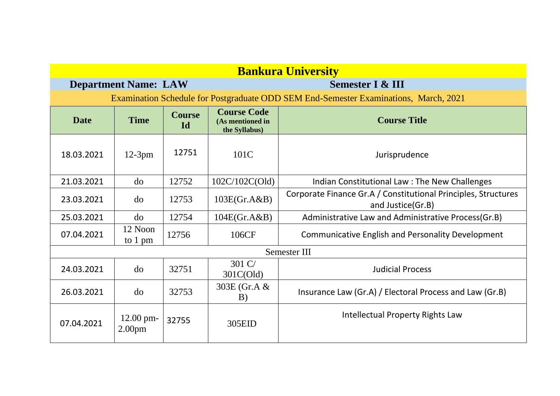| <b>Bankura University</b> |                                                                                      |                     |                                                         |                                                                                     |  |  |  |  |  |
|---------------------------|--------------------------------------------------------------------------------------|---------------------|---------------------------------------------------------|-------------------------------------------------------------------------------------|--|--|--|--|--|
|                           | <b>Department Name: LAW</b>                                                          |                     | <b>Semester I &amp; III</b>                             |                                                                                     |  |  |  |  |  |
|                           | Examination Schedule for Postgraduate ODD SEM End-Semester Examinations, March, 2021 |                     |                                                         |                                                                                     |  |  |  |  |  |
| <b>Date</b>               | <b>Time</b>                                                                          | <b>Course</b><br>Id | <b>Course Code</b><br>(As mentioned in<br>the Syllabus) | <b>Course Title</b>                                                                 |  |  |  |  |  |
| 18.03.2021                | $12-3pm$                                                                             | 12751               | 101C                                                    | Jurisprudence                                                                       |  |  |  |  |  |
| 21.03.2021                | do                                                                                   | 12752               | 102C/102C(Old)                                          | Indian Constitutional Law: The New Challenges                                       |  |  |  |  |  |
| 23.03.2021                | do                                                                                   | 12753               | 103E(Gr.A&B)                                            | Corporate Finance Gr.A / Constitutional Principles, Structures<br>and Justice(Gr.B) |  |  |  |  |  |
| 25.03.2021                | do                                                                                   | 12754               | 104E(Gr.A&B)                                            | Administrative Law and Administrative Process(Gr.B)                                 |  |  |  |  |  |
| 07.04.2021                | 12 Noon<br>to 1 pm                                                                   | 12756               | 106CF                                                   | <b>Communicative English and Personality Development</b>                            |  |  |  |  |  |
|                           |                                                                                      |                     |                                                         | Semester III                                                                        |  |  |  |  |  |
| 24.03.2021                | do                                                                                   | 32751               | 301 C/<br>301C(Old)                                     | <b>Judicial Process</b>                                                             |  |  |  |  |  |
| 26.03.2021                | do                                                                                   | 32753               | 303E (Gr.A &<br>B)                                      | Insurance Law (Gr.A) / Electoral Process and Law (Gr.B)                             |  |  |  |  |  |
| 07.04.2021                | $12.00$ pm-<br>2.00 <sub>pm</sub>                                                    | 32755               | 305EID                                                  | <b>Intellectual Property Rights Law</b>                                             |  |  |  |  |  |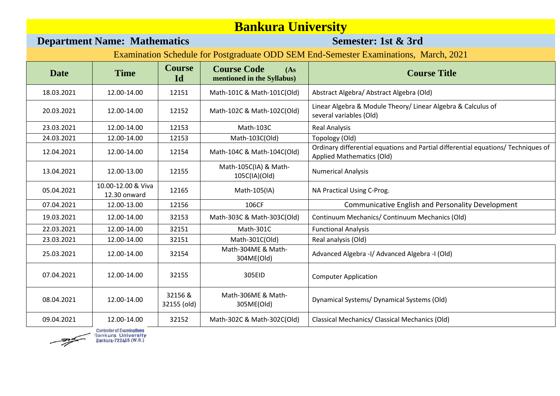# **Bankura University**<br>Semester: 1st & 3rd

### **Department Name: Mathematics**

| <b>Date</b> | <b>Time</b>                        | <b>Course</b><br>Id    | <b>Course Code</b><br>(As)<br>mentioned in the Syllabus) | <b>Course Title</b>                                                                                            |
|-------------|------------------------------------|------------------------|----------------------------------------------------------|----------------------------------------------------------------------------------------------------------------|
| 18.03.2021  | 12.00-14.00                        | 12151                  | Math-101C & Math-101C(Old)                               | Abstract Algebra/ Abstract Algebra (Old)                                                                       |
| 20.03.2021  | 12.00-14.00                        | 12152                  | Math-102C & Math-102C(Old)                               | Linear Algebra & Module Theory/ Linear Algebra & Calculus of<br>several variables (Old)                        |
| 23.03.2021  | 12.00-14.00                        | 12153                  | Math-103C                                                | <b>Real Analysis</b>                                                                                           |
| 24.03.2021  | 12.00-14.00                        | 12153                  | Math-103C(Old)                                           | Topology (Old)                                                                                                 |
| 12.04.2021  | 12.00-14.00                        | 12154                  | Math-104C & Math-104C(Old)                               | Ordinary differential equations and Partial differential equations/ Techniques of<br>Applied Mathematics (Old) |
| 13.04.2021  | 12.00-13.00                        | 12155                  | Math-105C(IA) & Math-<br>105C(IA)(Old)                   | <b>Numerical Analysis</b>                                                                                      |
| 05.04.2021  | 10.00-12.00 & Viva<br>12.30 onward | 12165                  | Math-105(IA)                                             | NA Practical Using C-Prog.                                                                                     |
| 07.04.2021  | 12.00-13.00                        | 12156                  | 106CF                                                    | Communicative English and Personality Development                                                              |
| 19.03.2021  | 12.00-14.00                        | 32153                  | Math-303C & Math-303C(Old)                               | Continuum Mechanics/ Continuum Mechanics (Old)                                                                 |
| 22.03.2021  | 12.00-14.00                        | 32151                  | Math-301C                                                | <b>Functional Analysis</b>                                                                                     |
| 23.03.2021  | 12.00-14.00                        | 32151                  | Math-301C(Old)                                           | Real analysis (Old)                                                                                            |
| 25.03.2021  | 12.00-14.00                        | 32154                  | Math-304ME & Math-<br>304ME(Old)                         | Advanced Algebra -I/ Advanced Algebra -I (Old)                                                                 |
| 07.04.2021  | 12.00-14.00                        | 32155                  | 305EID                                                   | <b>Computer Application</b>                                                                                    |
| 08.04.2021  | 12.00-14.00                        | 32156 &<br>32155 (old) | Math-306ME & Math-<br>305ME(Old)                         | Dynamical Systems/ Dynamical Systems (Old)                                                                     |
| 09.04.2021  | 12.00-14.00                        | 32152                  | Math-302C & Math-302C(Old)                               | <b>Classical Mechanics/ Classical Mechanics (Old)</b>                                                          |

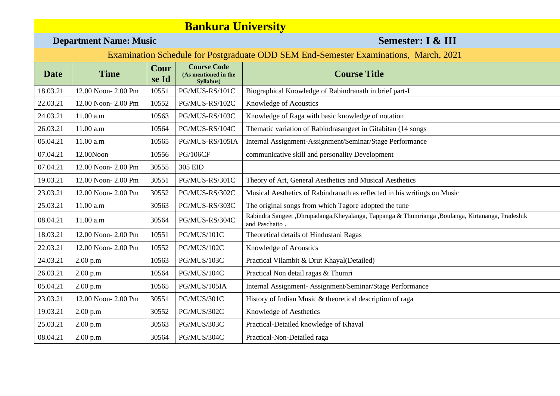### **Department Name: Music Semester: I & III**

| <b>Date</b> | <b>Time</b>        | Cour<br>se Id | <b>Course Code</b><br>(As mentioned in the<br>Syllabus) | <b>Course Title</b>                                                                                                |
|-------------|--------------------|---------------|---------------------------------------------------------|--------------------------------------------------------------------------------------------------------------------|
| 18.03.21    | 12.00 Noon-2.00 Pm | 10551         | PG/MUS-RS/101C                                          | Biographical Knowledge of Rabindranath in brief part-I                                                             |
| 22.03.21    | 12.00 Noon-2.00 Pm | 10552         | PG/MUS-RS/102C                                          | Knowledge of Acoustics                                                                                             |
| 24.03.21    | 11.00 a.m          | 10563         | PG/MUS-RS/103C                                          | Knowledge of Raga with basic knowledge of notation                                                                 |
| 26.03.21    | 11.00 a.m          | 10564         | PG/MUS-RS/104C                                          | Thematic variation of Rabindrasangeet in Gitabitan (14 songs                                                       |
| 05.04.21    | 11.00 a.m          | 10565         | PG/MUS-RS/105IA                                         | Internal Assignment-Assignment/Seminar/Stage Performance                                                           |
| 07.04.21    | 12.00Noon          | 10556         | <b>PG/106CF</b>                                         | communicative skill and personality Development                                                                    |
| 07.04.21    | 12.00 Noon-2.00 Pm | 30555         | 305 EID                                                 |                                                                                                                    |
| 19.03.21    | 12.00 Noon-2.00 Pm | 30551         | PG/MUS-RS/301C                                          | Theory of Art, General Aesthetics and Musical Aesthetics                                                           |
| 23.03.21    | 12.00 Noon-2.00 Pm | 30552         | PG/MUS-RS/302C                                          | Musical Aesthetics of Rabindranath as reflected in his writings on Music                                           |
| 25.03.21    | 11.00 a.m          | 30563         | PG/MUS-RS/303C                                          | The original songs from which Tagore adopted the tune                                                              |
| 08.04.21    | 11.00 a.m          | 30564         | PG/MUS-RS/304C                                          | Rabindra Sangeet ,Dhrupadanga,Kheyalanga, Tappanga & Thumrianga ,Boulanga, Kirtananga, Pradeshik<br>and Paschatto. |
| 18.03.21    | 12.00 Noon-2.00 Pm | 10551         | PG/MUS/101C                                             | Theoretical details of Hindustani Ragas                                                                            |
| 22.03.21    | 12.00 Noon-2.00 Pm | 10552         | PG/MUS/102C                                             | Knowledge of Acoustics                                                                                             |
| 24.03.21    | 2.00 p.m           | 10563         | PG/MUS/103C                                             | Practical Vilambit & Drut Khayal(Detailed)                                                                         |
| 26.03.21    | 2.00 p.m           | 10564         | PG/MUS/104C                                             | Practical Non detail ragas & Thumri                                                                                |
| 05.04.21    | 2.00 p.m           | 10565         | PG/MUS/105IA                                            | Internal Assignment-Assignment/Seminar/Stage Performance                                                           |
| 23.03.21    | 12.00 Noon-2.00 Pm | 30551         | PG/MUS/301C                                             | History of Indian Music & theoretical description of raga                                                          |
| 19.03.21    | 2.00 p.m           | 30552         | PG/MUS/302C                                             | Knowledge of Aesthetics                                                                                            |
| 25.03.21    | 2.00 p.m           | 30563         | PG/MUS/303C                                             | Practical-Detailed knowledge of Khayal                                                                             |
| 08.04.21    | 2.00 p.m           | 30564         | PG/MUS/304C                                             | Practical-Non-Detailed raga                                                                                        |
|             |                    |               |                                                         |                                                                                                                    |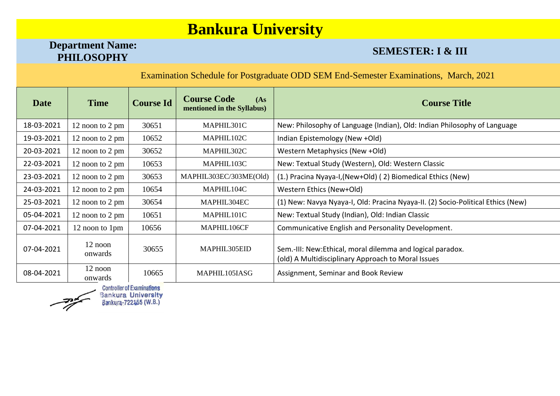# **Department Name:**

### **SEMESTER: I & III**

Examination Schedule for Postgraduate ODD SEM End-Semester Examinations, March, 2021

| Date       | <b>Time</b>          | <b>Course Id</b> | <b>Course Code</b><br>(As)<br>mentioned in the Syllabus) | <b>Course Title</b>                                                                                             |
|------------|----------------------|------------------|----------------------------------------------------------|-----------------------------------------------------------------------------------------------------------------|
| 18-03-2021 | 12 noon to 2 pm      | 30651            | MAPHIL301C                                               | New: Philosophy of Language (Indian), Old: Indian Philosophy of Language                                        |
| 19-03-2021 | 12 noon to 2 pm      | 10652            | MAPHIL102C                                               | Indian Epistemology (New +Old)                                                                                  |
| 20-03-2021 | 12 noon to 2 pm      | 30652            | MAPHIL302C                                               | Western Metaphysics (New +Old)                                                                                  |
| 22-03-2021 | 12 noon to 2 pm      | 10653            | MAPHIL103C                                               | New: Textual Study (Western), Old: Western Classic                                                              |
| 23-03-2021 | 12 noon to 2 pm      | 30653            | MAPHIL303EC/303ME(Old)                                   | (1.) Pracina Nyaya-I, (New+Old) (2) Biomedical Ethics (New)                                                     |
| 24-03-2021 | 12 noon to 2 pm      | 10654            | MAPHIL104C                                               | Western Ethics (New+Old)                                                                                        |
| 25-03-2021 | 12 noon to 2 pm      | 30654            | MAPHIL304EC                                              | (1) New: Navya Nyaya-I, Old: Pracina Nyaya-II. (2) Socio-Political Ethics (New)                                 |
| 05-04-2021 | 12 noon to 2 pm      | 10651            | MAPHIL101C                                               | New: Textual Study (Indian), Old: Indian Classic                                                                |
| 07-04-2021 | 12 noon to 1pm       | 10656            | MAPHIL106CF                                              | Communicative English and Personality Development.                                                              |
| 07-04-2021 | $12$ noon<br>onwards | 30655            | MAPHIL305EID                                             | Sem.-III: New:Ethical, moral dilemma and logical paradox.<br>(old) A Multidisciplinary Approach to Moral Issues |
| 08-04-2021 | 12 noon<br>onwards   | 10665            | MAPHIL105IASG                                            | Assignment, Seminar and Book Review                                                                             |

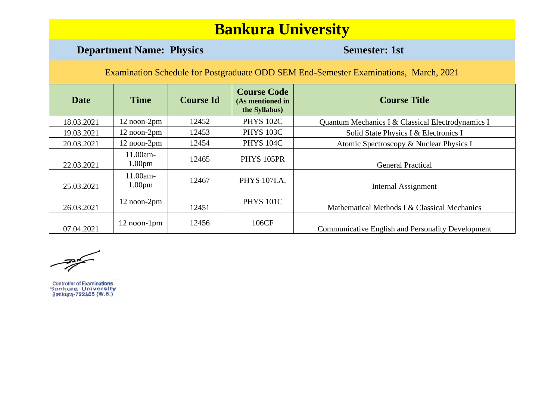### **Department Name: Physics Semester: 1st**

Examination Schedule for Postgraduate ODD SEM End-Semester Examinations, March, 2021

| <b>Date</b> | <b>Time</b>                    | <b>Course Id</b> | <b>Course Code</b><br>(As mentioned in<br>the Syllabus) | <b>Course Title</b>                                      |
|-------------|--------------------------------|------------------|---------------------------------------------------------|----------------------------------------------------------|
| 18.03.2021  | 12 noon-2pm                    | 12452            | <b>PHYS 102C</b>                                        | Quantum Mechanics I & Classical Electrodynamics I        |
| 19.03.2021  | 12 noon-2pm                    | 12453            | <b>PHYS 103C</b>                                        | Solid State Physics I & Electronics I                    |
| 20.03.2021  | 12 noon-2pm                    | 12454            | <b>PHYS 104C</b>                                        | Atomic Spectroscopy & Nuclear Physics I                  |
| 22.03.2021  | 11.00am-<br>1.00 <sub>pm</sub> | 12465            | PHYS 105PR                                              | <b>General Practical</b>                                 |
| 25.03.2021  | 11.00am-<br>1.00 <sub>pm</sub> | 12467            | <b>PHYS 107I.A.</b>                                     | Internal Assignment                                      |
| 26.03.2021  | 12 noon-2pm                    | 12451            | <b>PHYS 101C</b>                                        | Mathematical Methods I & Classical Mechanics             |
| 07.04.2021  | 12 noon-1pm                    | 12456            | 106CF                                                   | <b>Communicative English and Personality Development</b> |

 $\frac{1}{\sqrt{2\pi}}\left( \frac{1}{\sqrt{2\pi}}\right)$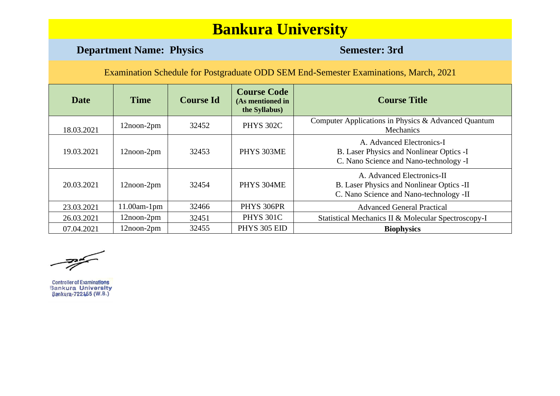### **Department Name: Physics Semester: 3rd**

| <b>Date</b> | <b>Time</b>       | <b>Course Id</b> | <b>Course Code</b><br>(As mentioned in<br>the Syllabus) | <b>Course Title</b>                                                                                                |
|-------------|-------------------|------------------|---------------------------------------------------------|--------------------------------------------------------------------------------------------------------------------|
| 18.03.2021  | $12$ noon- $2$ pm | 32452            | <b>PHYS 302C</b>                                        | Computer Applications in Physics & Advanced Quantum<br>Mechanics                                                   |
| 19.03.2021  | $12$ noon- $2$ pm | 32453            | PHYS 303ME                                              | A. Advanced Electronics-I<br>B. Laser Physics and Nonlinear Optics -I<br>C. Nano Science and Nano-technology -I    |
| 20.03.2021  | $12$ noon- $2$ pm | 32454            | PHYS 304ME                                              | A. Advanced Electronics-II<br>B. Laser Physics and Nonlinear Optics -II<br>C. Nano Science and Nano-technology -II |
| 23.03.2021  | $11.00$ am-1pm    | 32466            | PHYS 306PR                                              | <b>Advanced General Practical</b>                                                                                  |
| 26.03.2021  | $12$ noon- $2$ pm | 32451            | <b>PHYS 301C</b>                                        | Statistical Mechanics II & Molecular Spectroscopy-I                                                                |
| 07.04.2021  | 12noon-2pm        | 32455            | PHYS 305 EID                                            | <b>Biophysics</b>                                                                                                  |

 $\frac{1}{\sqrt{2\pi}}\sum_{n=1}^{\infty}\frac{1}{n^{n}}$ 

Controller of Examinations<br>Bankura University Bankura-722155 (W.B.)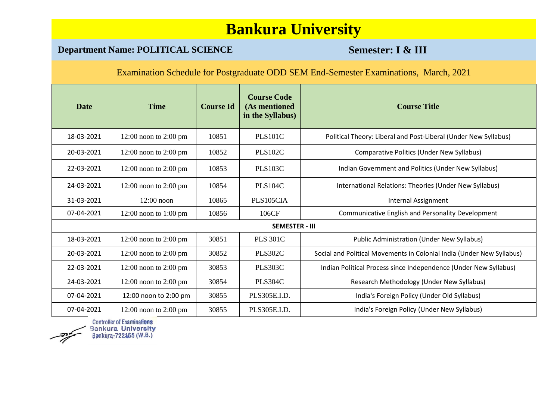### **Department Name: POLITICAL SCIENCE <b>Semester: I & III**

Examination Schedule for Postgraduate ODD SEM End-Semester Examinations, March, 2021

| <b>Date</b> | <b>Time</b>               | <b>Course Id</b> | <b>Course Code</b><br>(As mentioned<br>in the Syllabus) | <b>Course Title</b>                                                   |
|-------------|---------------------------|------------------|---------------------------------------------------------|-----------------------------------------------------------------------|
| 18-03-2021  | $12:00$ noon to $2:00$ pm | 10851            | <b>PLS101C</b>                                          | Political Theory: Liberal and Post-Liberal (Under New Syllabus)       |
| 20-03-2021  | $12:00$ noon to $2:00$ pm | 10852            | <b>PLS102C</b>                                          | <b>Comparative Politics (Under New Syllabus)</b>                      |
| 22-03-2021  | $12:00$ noon to $2:00$ pm | 10853            | <b>PLS103C</b>                                          | Indian Government and Politics (Under New Syllabus)                   |
| 24-03-2021  | $12:00$ noon to $2:00$ pm | 10854            | <b>PLS104C</b>                                          | International Relations: Theories (Under New Syllabus)                |
| 31-03-2021  | $12:00$ noon              | 10865            | PLS105CIA                                               | <b>Internal Assignment</b>                                            |
| 07-04-2021  | $12:00$ noon to $1:00$ pm | 10856            | 106CF                                                   | Communicative English and Personality Development                     |
|             |                           |                  | <b>SEMESTER - III</b>                                   |                                                                       |
| 18-03-2021  | $12:00$ noon to $2:00$ pm | 30851            | <b>PLS 301C</b>                                         | <b>Public Administration (Under New Syllabus)</b>                     |
| 20-03-2021  | $12:00$ noon to $2:00$ pm | 30852            | <b>PLS302C</b>                                          | Social and Political Movements in Colonial India (Under New Syllabus) |
| 22-03-2021  | $12:00$ noon to $2:00$ pm | 30853            | <b>PLS303C</b>                                          | Indian Political Process since Independence (Under New Syllabus)      |
| 24-03-2021  | $12:00$ noon to $2:00$ pm | 30854            | <b>PLS304C</b>                                          | Research Methodology (Under New Syllabus)                             |
| 07-04-2021  | 12:00 noon to 2:00 pm     | 30855            | PLS305E.I.D.                                            | India's Foreign Policy (Under Old Syllabus)                           |
| 07-04-2021  | $12:00$ noon to $2:00$ pm | 30855            | PLS305E.I.D.                                            | India's Foreign Policy (Under New Syllabus)                           |

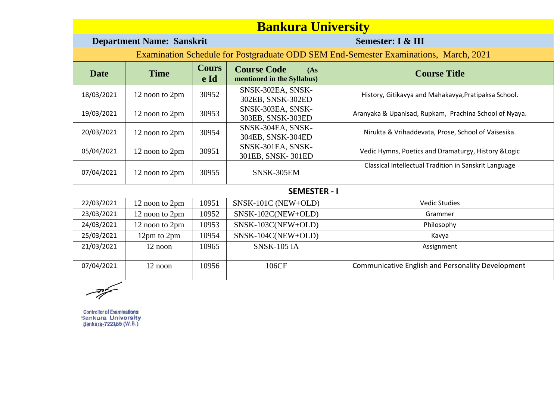|                                                                                      | <b>Department Name: Sanskrit</b> |                      |                                                          | Semester: I & III                                      |  |  |  |
|--------------------------------------------------------------------------------------|----------------------------------|----------------------|----------------------------------------------------------|--------------------------------------------------------|--|--|--|
| Examination Schedule for Postgraduate ODD SEM End-Semester Examinations, March, 2021 |                                  |                      |                                                          |                                                        |  |  |  |
| Date                                                                                 | <b>Time</b>                      | <b>Cours</b><br>e Id | <b>Course Code</b><br>(As)<br>mentioned in the Syllabus) | <b>Course Title</b>                                    |  |  |  |
| 18/03/2021                                                                           | 12 noon to 2pm                   | 30952                | SNSK-302EA, SNSK-<br>302EB, SNSK-302ED                   | History, Gitikavya and Mahakavya, Pratipaksa School.   |  |  |  |
| 19/03/2021                                                                           | 12 noon to 2pm                   | 30953                | SNSK-303EA, SNSK-<br>303EB, SNSK-303ED                   | Aranyaka & Upanisad, Rupkam, Prachina School of Nyaya. |  |  |  |
| 20/03/2021                                                                           | 12 noon to 2pm                   | 30954                | SNSK-304EA, SNSK-<br>304EB, SNSK-304ED                   | Nirukta & Vrihaddevata, Prose, School of Vaisesika.    |  |  |  |
| 05/04/2021                                                                           | 12 noon to 2pm                   | 30951                | SNSK-301EA, SNSK-<br>301EB, SNSK-301ED                   | Vedic Hymns, Poetics and Dramaturgy, History & Logic   |  |  |  |
| 07/04/2021                                                                           | 12 noon to 2pm                   | 30955                | SNSK-305EM                                               | Classical Intellectual Tradition in Sanskrit Language  |  |  |  |
|                                                                                      |                                  |                      | <b>SEMESTER - I</b>                                      |                                                        |  |  |  |
| 22/03/2021                                                                           | 12 noon to 2pm                   | 10951                | SNSK-101C (NEW+OLD)                                      | <b>Vedic Studies</b>                                   |  |  |  |
| 23/03/2021                                                                           | 12 noon to 2pm                   | 10952                | $SNSK-102C(NEW+OLD)$                                     | Grammer                                                |  |  |  |
| 24/03/2021                                                                           | 12 noon to 2pm                   | 10953                | $SNSK-103C(NEW+OLD)$                                     | Philosophy                                             |  |  |  |
| 25/03/2021                                                                           | 12pm to 2pm                      | 10954                | SNSK-104C(NEW+OLD)                                       | Kavya                                                  |  |  |  |
| 21/03/2021                                                                           | 12 noon                          | 10965                | <b>SNSK-105 IA</b>                                       | Assignment                                             |  |  |  |
| 07/04/2021                                                                           | 12 noon                          | 10956                | 106CF                                                    | Communicative English and Personality Development      |  |  |  |

 $\frac{1}{\sqrt{2}}$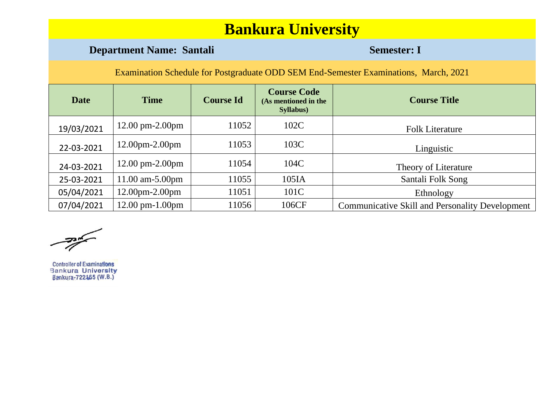### **Department Name: Santali <b>Semester: I**

Examination Schedule for Postgraduate ODD SEM End-Semester Examinations, March, 2021

| <b>Date</b> | <b>Time</b>                         | <b>Course Id</b> | <b>Course Code</b><br>(As mentioned in the<br><b>Syllabus</b> ) | <b>Course Title</b>                                    |
|-------------|-------------------------------------|------------------|-----------------------------------------------------------------|--------------------------------------------------------|
| 19/03/2021  | $12.00 \text{ pm} - 2.00 \text{pm}$ | 11052            | 102C                                                            | <b>Folk Literature</b>                                 |
| 22-03-2021  | $12.00 \text{pm} - 2.00 \text{pm}$  | 11053            | 103C                                                            | Linguistic                                             |
| 24-03-2021  | $12.00 \text{ pm} - 2.00 \text{pm}$ | 11054            | 104C                                                            | Theory of Literature                                   |
| 25-03-2021  | $11.00$ am-5.00pm                   | 11055            | 105IA                                                           | Santali Folk Song                                      |
| 05/04/2021  | $12.00$ pm $-2.00$ pm               | 11051            | 101C                                                            | Ethnology                                              |
| 07/04/2021  | $12.00$ pm- $1.00$ pm               | 11056            | 106CF                                                           | <b>Communicative Skill and Personality Development</b> |

رسيبيت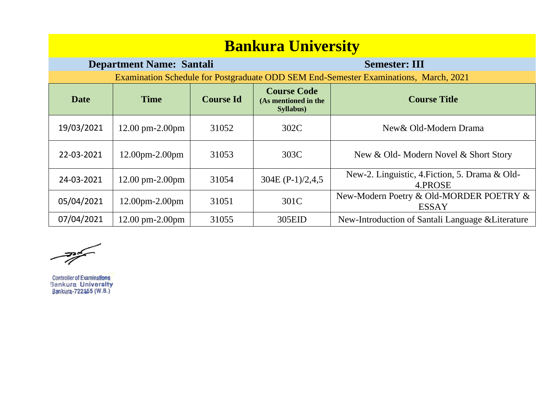| <b>Bankura University</b>                               |                                     |                  |                                                         |                                                                                      |  |  |  |  |
|---------------------------------------------------------|-------------------------------------|------------------|---------------------------------------------------------|--------------------------------------------------------------------------------------|--|--|--|--|
| <b>Department Name: Santali</b><br><b>Semester: III</b> |                                     |                  |                                                         |                                                                                      |  |  |  |  |
|                                                         |                                     |                  |                                                         | Examination Schedule for Postgraduate ODD SEM End-Semester Examinations, March, 2021 |  |  |  |  |
| <b>Date</b>                                             | <b>Time</b>                         | <b>Course Id</b> | <b>Course Code</b><br>(As mentioned in the<br>Syllabus) | <b>Course Title</b>                                                                  |  |  |  |  |
| 19/03/2021                                              | $12.00 \text{ pm} - 2.00 \text{pm}$ | 31052            | 302C                                                    | New & Old-Modern Drama                                                               |  |  |  |  |
| 22-03-2021                                              | $12.00$ pm $-2.00$ pm               | 31053            | 303C                                                    | New & Old-Modern Novel & Short Story                                                 |  |  |  |  |
| 24-03-2021                                              | $12.00 \text{ pm} - 2.00 \text{pm}$ | 31054            | 304E $(P-1)/2, 4, 5$                                    | New-2. Linguistic, 4. Fiction, 5. Drama & Old-<br>4.PROSE                            |  |  |  |  |
| 05/04/2021                                              | $12.00$ pm $-2.00$ pm               | 31051            | 301C                                                    | New-Modern Poetry & Old-MORDER POETRY &<br><b>ESSAY</b>                              |  |  |  |  |
| 07/04/2021                                              | $12.00 \text{ pm} - 2.00 \text{pm}$ | 31055            | 305EID                                                  | New-Introduction of Santali Language & Literature                                    |  |  |  |  |

Controller of Examinations<br>Bankura University<br>Bankura-722155 (W.B.)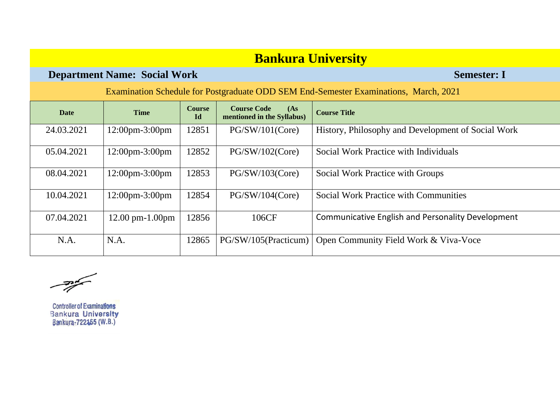### **Department Name: Social Work Semester: I**

| <b>Date</b> | <b>Time</b>                         | <b>Course</b><br>Id | <b>Course Code</b><br>(As)<br>mentioned in the Syllabus) | <b>Course Title</b>                                      |
|-------------|-------------------------------------|---------------------|----------------------------------------------------------|----------------------------------------------------------|
| 24.03.2021  | $12:00 \text{pm} - 3:00 \text{pm}$  | 12851               | PG/SW/101(Core)                                          | History, Philosophy and Development of Social Work       |
| 05.04.2021  | $12:00 \text{pm} - 3:00 \text{pm}$  | 12852               | PG/SW/102(Core)                                          | Social Work Practice with Individuals                    |
| 08.04.2021  | $12:00$ pm $-3:00$ pm               | 12853               | PG/SW/103(Core)                                          | Social Work Practice with Groups                         |
| 10.04.2021  | $12:00 \text{pm} - 3:00 \text{pm}$  | 12854               | PG/SW/104(Core)                                          | <b>Social Work Practice with Communities</b>             |
| 07.04.2021  | $12.00 \text{ pm} - 1.00 \text{pm}$ | 12856               | 106CF                                                    | <b>Communicative English and Personality Development</b> |
| N.A.        | N.A.                                | 12865               | PG/SW/105(Practicum)                                     | Open Community Field Work & Viva-Voce                    |

 $\frac{1}{\sqrt{2\pi}}\int_{0}^{\frac{\pi}{2}}\frac{dx}{\sqrt{2\pi}}dx$ 

**Controller of Examinations Bankura University** Bankura-722155 (W.B.)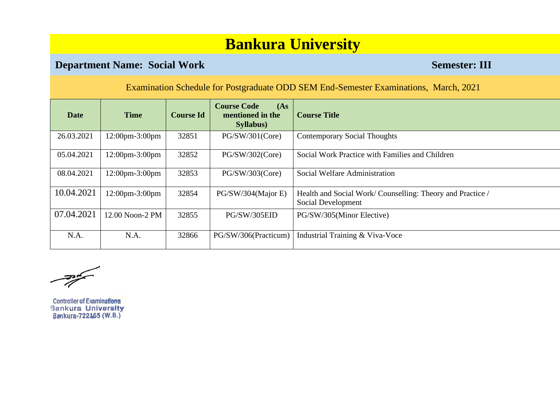### **Department Name: Social Work Semester: III**

Examination Schedule for Postgraduate ODD SEM End-Semester Examinations, March, 2021

| Date       | <b>Time</b>                        | <b>Course Id</b> | <b>Course Code</b><br>(As)<br>mentioned in the<br><b>Syllabus</b> ) | <b>Course Title</b>                                                             |
|------------|------------------------------------|------------------|---------------------------------------------------------------------|---------------------------------------------------------------------------------|
| 26.03.2021 | 12:00pm-3:00pm                     | 32851            | PG/SW/301(Core)                                                     | <b>Contemporary Social Thoughts</b>                                             |
| 05.04.2021 | $12:00 \text{pm} - 3:00 \text{pm}$ | 32852            | PG/SW/302(Core)                                                     | Social Work Practice with Families and Children                                 |
| 08.04.2021 | $12:00 \text{pm} - 3:00 \text{pm}$ | 32853            | PG/SW/303(Core)                                                     | Social Welfare Administration                                                   |
| 10.04.2021 | $12:00 \text{pm} - 3:00 \text{pm}$ | 32854            | PG/SW/304(Major E)                                                  | Health and Social Work/Counselling: Theory and Practice /<br>Social Development |
| 07.04.2021 | 12.00 Noon-2 PM                    | 32855            | PG/SW/305EID                                                        | PG/SW/305(Minor Elective)                                                       |
| N.A.       | N.A.                               | 32866            | PG/SW/306(Practicum)                                                | Industrial Training & Viva-Voce                                                 |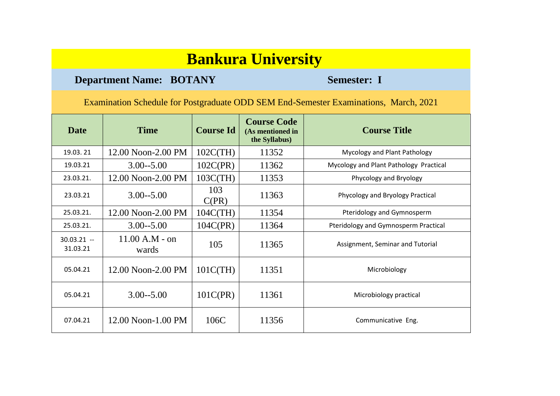### **Department Name: BOTANY Semester: I**

| <b>Date</b>              | <b>Time</b>               | <b>Course Id</b> | <b>Course Code</b><br>(As mentioned in<br>the Syllabus) | <b>Course Title</b>                    |
|--------------------------|---------------------------|------------------|---------------------------------------------------------|----------------------------------------|
| 19.03.21                 | 12.00 Noon-2.00 PM        | $102C$ (TH)      | 11352                                                   | Mycology and Plant Pathology           |
| 19.03.21                 | $3.00 - 5.00$             | 102C(PR)         | 11362                                                   | Mycology and Plant Pathology Practical |
| 23.03.21.                | 12.00 Noon-2.00 PM        | $103C$ (TH)      | 11353                                                   | Phycology and Bryology                 |
| 23.03.21                 | $3.00 - 5.00$             | 103<br>C(PR)     | 11363                                                   | Phycology and Bryology Practical       |
| 25.03.21.                | 12.00 Noon-2.00 PM        | $104C$ (TH)      | 11354                                                   | Pteridology and Gymnosperm             |
| 25.03.21.                | $3.00 - 5.00$             | 104C(PR)         | 11364                                                   | Pteridology and Gymnosperm Practical   |
| $30.03.21 -$<br>31.03.21 | $11.00 A.M - on$<br>wards | 105              | 11365                                                   | Assignment, Seminar and Tutorial       |
| 05.04.21                 | 12.00 Noon-2.00 PM        | 101C(TH)         | 11351                                                   | Microbiology                           |
| 05.04.21                 | $3.00 - 5.00$             | 101C(PR)         | 11361                                                   | Microbiology practical                 |
| 07.04.21                 | $12.00$ Noon-1.00 PM      | 106C             | 11356                                                   | Communicative Eng.                     |